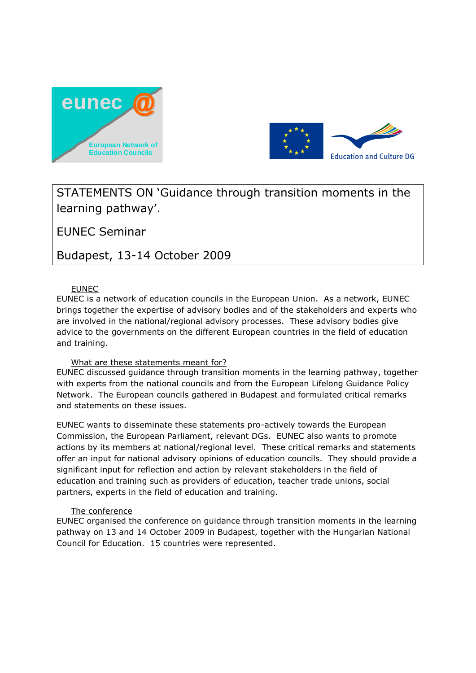



# STATEMENTS ON 'Guidance through transition moments in the learning pathway'.

EUNEC Seminar

Budapest, 13-14 October 2009

# EUNEC

EUNEC is a network of education councils in the European Union. As a network, EUNEC brings together the expertise of advisory bodies and of the stakeholders and experts who are involved in the national/regional advisory processes. These advisory bodies give advice to the governments on the different European countries in the field of education and training.

### What are these statements meant for?

EUNEC discussed guidance through transition moments in the learning pathway, together with experts from the national councils and from the European Lifelong Guidance Policy Network. The European councils gathered in Budapest and formulated critical remarks and statements on these issues.

EUNEC wants to disseminate these statements pro-actively towards the European Commission, the European Parliament, relevant DGs. EUNEC also wants to promote actions by its members at national/regional level. These critical remarks and statements offer an input for national advisory opinions of education councils. They should provide a significant input for reflection and action by relevant stakeholders in the field of education and training such as providers of education, teacher trade unions, social partners, experts in the field of education and training.

### The conference

EUNEC organised the conference on guidance through transition moments in the learning pathway on 13 and 14 October 2009 in Budapest, together with the Hungarian National Council for Education. 15 countries were represented.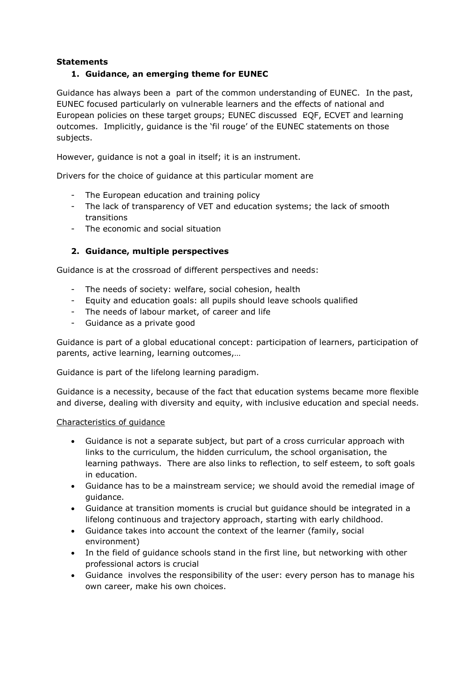### **Statements**

## **1. Guidance, an emerging theme for EUNEC**

Guidance has always been a part of the common understanding of EUNEC. In the past, EUNEC focused particularly on vulnerable learners and the effects of national and European policies on these target groups; EUNEC discussed EQF, ECVET and learning outcomes. Implicitly, guidance is the 'fil rouge' of the EUNEC statements on those subjects.

However, guidance is not a goal in itself; it is an instrument.

Drivers for the choice of guidance at this particular moment are

- The European education and training policy
- The lack of transparency of VET and education systems; the lack of smooth transitions
- The economic and social situation

# **2. Guidance, multiple perspectives**

Guidance is at the crossroad of different perspectives and needs:

- The needs of society: welfare, social cohesion, health
- Equity and education goals: all pupils should leave schools qualified
- The needs of labour market, of career and life
- Guidance as a private good

Guidance is part of a global educational concept: participation of learners, participation of parents, active learning, learning outcomes,…

Guidance is part of the lifelong learning paradigm.

Guidance is a necessity, because of the fact that education systems became more flexible and diverse, dealing with diversity and equity, with inclusive education and special needs.

### Characteristics of guidance

- Guidance is not a separate subject, but part of a cross curricular approach with links to the curriculum, the hidden curriculum, the school organisation, the learning pathways. There are also links to reflection, to self esteem, to soft goals in education.
- Guidance has to be a mainstream service; we should avoid the remedial image of guidance.
- Guidance at transition moments is crucial but guidance should be integrated in a lifelong continuous and trajectory approach, starting with early childhood.
- Guidance takes into account the context of the learner (family, social environment)
- In the field of guidance schools stand in the first line, but networking with other professional actors is crucial
- Guidance involves the responsibility of the user: every person has to manage his own career, make his own choices.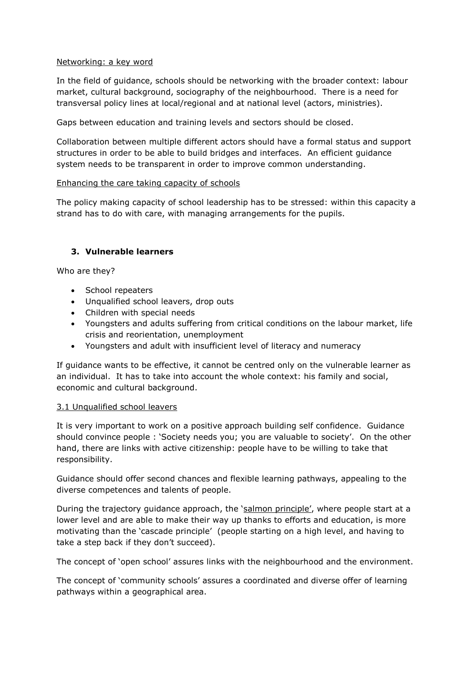#### Networking: a key word

In the field of guidance, schools should be networking with the broader context: labour market, cultural background, sociography of the neighbourhood. There is a need for transversal policy lines at local/regional and at national level (actors, ministries).

Gaps between education and training levels and sectors should be closed.

Collaboration between multiple different actors should have a formal status and support structures in order to be able to build bridges and interfaces. An efficient guidance system needs to be transparent in order to improve common understanding.

#### Enhancing the care taking capacity of schools

The policy making capacity of school leadership has to be stressed: within this capacity a strand has to do with care, with managing arrangements for the pupils.

### **3. Vulnerable learners**

Who are they?

- School repeaters
- Unqualified school leavers, drop outs
- Children with special needs
- Youngsters and adults suffering from critical conditions on the labour market, life crisis and reorientation, unemployment
- Youngsters and adult with insufficient level of literacy and numeracy

If guidance wants to be effective, it cannot be centred only on the vulnerable learner as an individual. It has to take into account the whole context: his family and social, economic and cultural background.

### 3.1 Unqualified school leavers

It is very important to work on a positive approach building self confidence. Guidance should convince people : 'Society needs you; you are valuable to society'. On the other hand, there are links with active citizenship: people have to be willing to take that responsibility.

Guidance should offer second chances and flexible learning pathways, appealing to the diverse competences and talents of people.

During the trajectory guidance approach, the 'salmon principle', where people start at a lower level and are able to make their way up thanks to efforts and education, is more motivating than the 'cascade principle' (people starting on a high level, and having to take a step back if they don't succeed).

The concept of 'open school' assures links with the neighbourhood and the environment.

The concept of 'community schools' assures a coordinated and diverse offer of learning pathways within a geographical area.